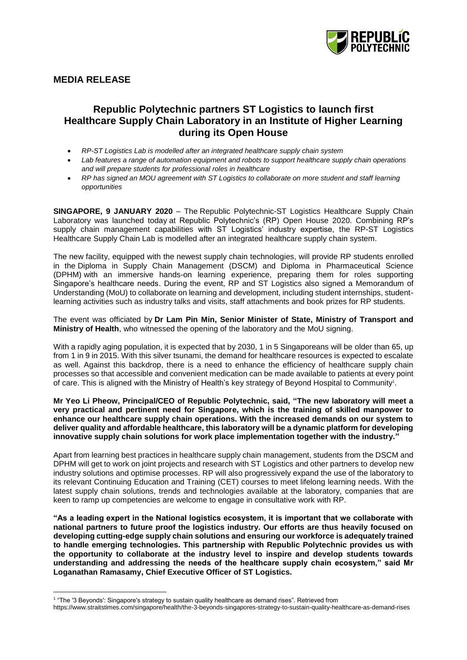

# **MEDIA RELEASE**

 $\overline{a}$ 

# **Republic Polytechnic partners ST Logistics to launch first Healthcare Supply Chain Laboratory in an Institute of Higher Learning during its Open House**

- *RP-ST Logistics Lab is modelled after an integrated healthcare supply chain system*
- *Lab features a range of automation equipment and robots to support healthcare supply chain operations and will prepare students for professional roles in healthcare*
- *RP has signed an MOU agreement with ST Logistics to collaborate on more student and staff learning opportunities*

**SINGAPORE, 9 JANUARY 2020** – The Republic Polytechnic-ST Logistics Healthcare Supply Chain Laboratory was launched today at Republic Polytechnic's (RP) Open House 2020. Combining RP's supply chain management capabilities with ST Logistics' industry expertise, the RP-ST Logistics Healthcare Supply Chain Lab is modelled after an integrated healthcare supply chain system.

The new facility, equipped with the newest supply chain technologies, will provide RP students enrolled in the Diploma in Supply Chain Management (DSCM) and Diploma in Pharmaceutical Science (DPHM) with an immersive hands-on learning experience, preparing them for roles supporting Singapore's healthcare needs. During the event, RP and ST Logistics also signed a Memorandum of Understanding (MoU) to collaborate on learning and development, including student internships, studentlearning activities such as industry talks and visits, staff attachments and book prizes for RP students.

The event was officiated by **Dr Lam Pin Min, Senior Minister of State, Ministry of Transport and Ministry of Health**, who witnessed the opening of the laboratory and the MoU signing.

With a rapidly aging population, it is expected that by 2030, 1 in 5 Singaporeans will be older than 65, up from 1 in 9 in 2015. With this silver tsunami, the demand for healthcare resources is expected to escalate as well. Against this backdrop, there is a need to enhance the efficiency of healthcare supply chain processes so that accessible and convenient medication can be made available to patients at every point of care. This is aligned with the Ministry of Health's key strategy of Beyond Hospital to Community<sup>1</sup> .

**Mr Yeo Li Pheow, Principal/CEO of Republic Polytechnic, said, "The new laboratory will meet a very practical and pertinent need for Singapore, which is the training of skilled manpower to enhance our healthcare supply chain operations. With the increased demands on our system to deliver quality and affordable healthcare, this laboratory will be a dynamic platform for developing innovative supply chain solutions for work place implementation together with the industry."**

Apart from learning best practices in healthcare supply chain management, students from the DSCM and DPHM will get to work on joint projects and research with ST Logistics and other partners to develop new industry solutions and optimise processes. RP will also progressively expand the use of the laboratory to its relevant Continuing Education and Training (CET) courses to meet lifelong learning needs. With the latest supply chain solutions, trends and technologies available at the laboratory, companies that are keen to ramp up competencies are welcome to engage in consultative work with RP.

**"As a leading expert in the National logistics ecosystem, it is important that we collaborate with national partners to future proof the logistics industry. Our efforts are thus heavily focused on developing cutting-edge supply chain solutions and ensuring our workforce is adequately trained to handle emerging technologies. This partnership with Republic Polytechnic provides us with the opportunity to collaborate at the industry level to inspire and develop students towards understanding and addressing the needs of the healthcare supply chain ecosystem," said Mr Loganathan Ramasamy, Chief Executive Officer of ST Logistics.**

<sup>1</sup> "The '3 Beyonds': Singapore's strategy to sustain quality healthcare as demand rises". Retrieved from

https://www.straitstimes.com/singapore/health/the-3-beyonds-singapores-strategy-to-sustain-quality-healthcare-as-demand-rises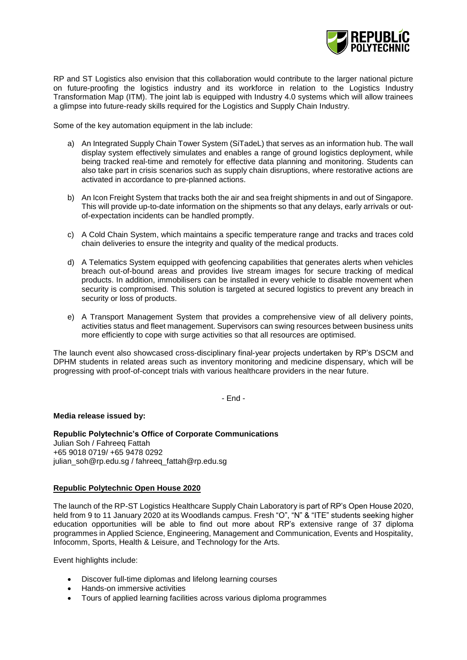

RP and ST Logistics also envision that this collaboration would contribute to the larger national picture on future-proofing the logistics industry and its workforce in relation to the Logistics Industry Transformation Map (ITM). The joint lab is equipped with Industry 4.0 systems which will allow trainees a glimpse into future-ready skills required for the Logistics and Supply Chain Industry.

Some of the key automation equipment in the lab include:

- a) An Integrated Supply Chain Tower System (SiTadeL) that serves as an information hub. The wall display system effectively simulates and enables a range of ground logistics deployment, while being tracked real-time and remotely for effective data planning and monitoring. Students can also take part in crisis scenarios such as supply chain disruptions, where restorative actions are activated in accordance to pre-planned actions.
- b) An Icon Freight System that tracks both the air and sea freight shipments in and out of Singapore. This will provide up-to-date information on the shipments so that any delays, early arrivals or outof-expectation incidents can be handled promptly.
- c) A Cold Chain System, which maintains a specific temperature range and tracks and traces cold chain deliveries to ensure the integrity and quality of the medical products.
- d) A Telematics System equipped with geofencing capabilities that generates alerts when vehicles breach out-of-bound areas and provides live stream images for secure tracking of medical products. In addition, immobilisers can be installed in every vehicle to disable movement when security is compromised. This solution is targeted at secured logistics to prevent any breach in security or loss of products.
- e) A Transport Management System that provides a comprehensive view of all delivery points, activities status and fleet management. Supervisors can swing resources between business units more efficiently to cope with surge activities so that all resources are optimised.

The launch event also showcased cross-disciplinary final-year projects undertaken by RP's DSCM and DPHM students in related areas such as inventory monitoring and medicine dispensary, which will be progressing with proof-of-concept trials with various healthcare providers in the near future.

- End -

#### **Media release issued by:**

**Republic Polytechnic's Office of Corporate Communications**  Julian Soh / Fahreeq Fattah +65 9018 0719/ +65 9478 0292 julian\_soh@rp.edu.sg / fahreeq\_fattah@rp.edu.sg

# **Republic Polytechnic Open House 2020**

The launch of the RP-ST Logistics Healthcare Supply Chain Laboratory is part of RP's Open House 2020, held from 9 to 11 January 2020 at its Woodlands campus. Fresh "O", "N" & "ITE" students seeking higher education opportunities will be able to find out more about RP's extensive range of 37 diploma programmes in Applied Science, Engineering, Management and Communication, Events and Hospitality, Infocomm, Sports, Health & Leisure, and Technology for the Arts.

Event highlights include:

- Discover full-time diplomas and lifelong learning courses
- Hands-on immersive activities
- Tours of applied learning facilities across various diploma programmes